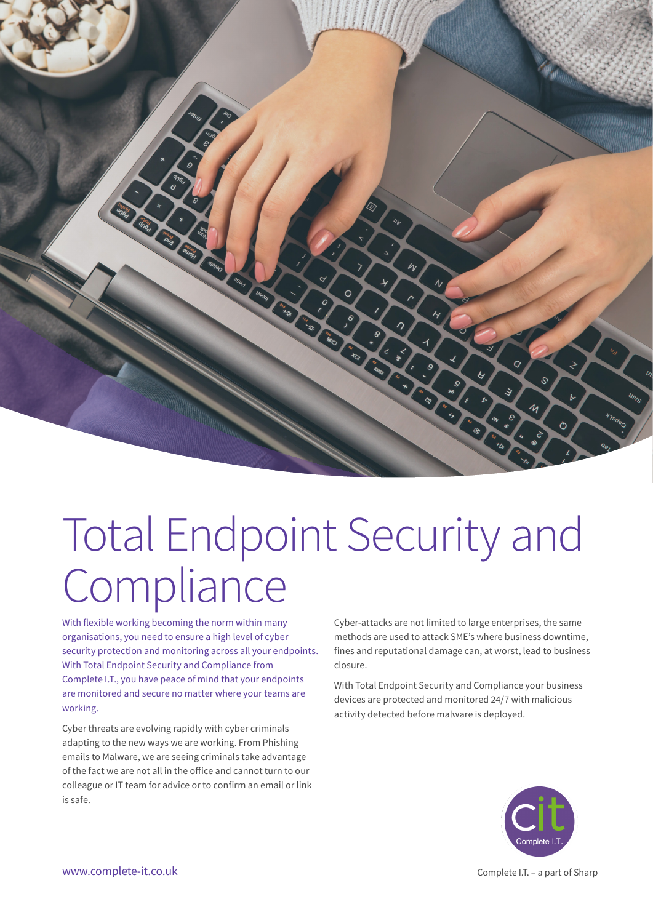

# Total Endpoint Security and **Compliance**

With flexible working becoming the norm within many organisations, you need to ensure a high level of cyber security protection and monitoring across all your endpoints. With Total Endpoint Security and Compliance from Complete I.T., you have peace of mind that your endpoints are monitored and secure no matter where your teams are working.

Cyber threats are evolving rapidly with cyber criminals adapting to the new ways we are working. From Phishing emails to Malware, we are seeing criminals take advantage of the fact we are not all in the office and cannot turn to our colleague or IT team for advice or to confirm an email or link is safe.

Cyber-attacks are not limited to large enterprises, the same methods are used to attack SME's where business downtime, fines and reputational damage can, at worst, lead to business closure.

With Total Endpoint Security and Compliance your business devices are protected and monitored 24/7 with malicious activity detected before malware is deployed.